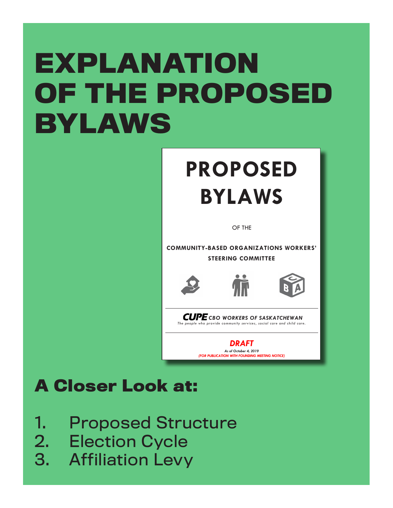# **EXPLANATION OF THE PROPOSED BYLAWS**

## **PROPOSED BYLAWS**

OF THE

**COMMUNITY-BASED ORGANIZATIONS WORKERS' STEERING COMMITTEE**





*CUPE* CBO WORKERS OF SASKATCHEWAN *The people who provide community services, social care and child care.* 

> *DRAFT As of October 4, 2019 (FOR PUBLICATION WITH FOUNDING MEETING NOTICE)*

## **A Closer Look at:**

- 1. Proposed Structure
- 2. Election Cycle
- 3. Affiliation Levy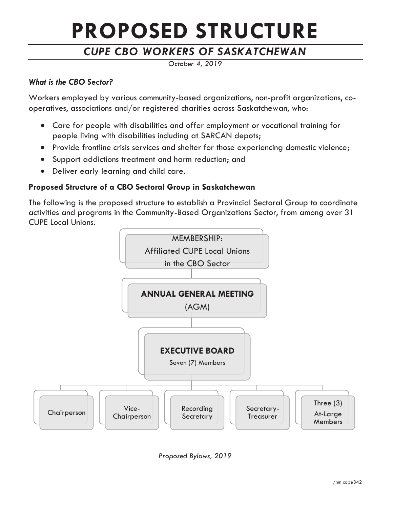## **PROPOSED STRUCTURE**

## *CUPE CBO WORKERS OF SASKATCHEWAN*

*October 4, 2019*

#### *What is the CBO Sector?*

Workers employed by various community-based organizations, non-profit organizations, cooperatives, associations and/or registered charities across Saskatchewan, who:

- Care for people with disabilities and offer employment or vocational training for people living with disabilities including at SARCAN depots;
- Provide frontline crisis services and shelter for those experiencing domestic violence;
- Support addictions treatment and harm reduction; and
- Deliver early learning and child care.

#### **Proposed Structure of a CBO Sectoral Group in Saskatchewan**

The following is the proposed structure to establish a Provincial Sectoral Group to coordinate activities and programs in the Community-Based Organizations Sector, from among over 31 CUPE Local Unions.



*Proposed Bylaws, 2019*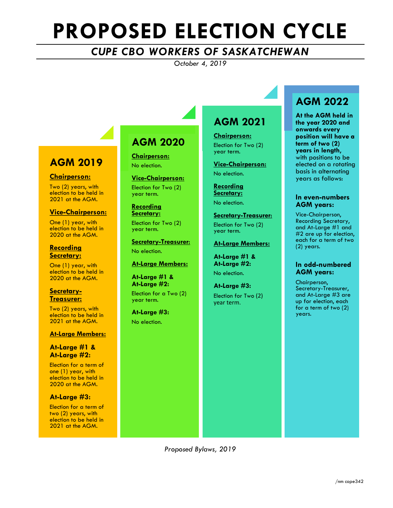## **PROPOSED ELECTION CYCLE**

### *CUPE CBO WORKERS OF SASKATCHEWAN*

*October 4, 2019*

### **AGM 2019**

#### **Chairperson:**

Two (2) years, with election to be held in 2021 at the AGM.

#### **Vice-Chairperson:**

One (1) year, with election to be held in 2020 at the AGM.

#### **Recording Secretary:**

One (1) year, with election to be held in 2020 at the AGM.

## **Secretary- Treasurer:**

Two (2) years, with election to be held in 2021 at the AGM.

#### **At-Large Members:**

#### **At-Large #1 & At-Large #2:**

Election for a term of one (1) year, with election to be held in 2020 at the AGM.

#### **At-Large #3:**

Election for a term of two (2) years, with election to be held in 2021 at the AGM.

## **AGM 2020**

**Chairperson:** No election.

**Vice-Chairperson:** Election for Two (2) year term.

**Recording Secretary:**

Election for Two (2) year term.

**Secretary-Treasurer:** No election.

#### **At-Large Members:**

**At-Large #1 & At-Large #2:**

Election for a Two (2) year term.

**At-Large #3:** No election.

### **AGM 2021**

**Chairperson:**  Election for Two (2) year term.

**Vice-Chairperson:** No election.

**Recording Secretary:** No election.

**Secretary-Treasurer:**  Election for Two (2) year term.

#### **At-Large Members:**

**At-Large #1 & At-Large #2:** No election.

**At-Large #3:** Election for Two (2) year term.

### **AGM 2022**

**At the AGM held in the year 2020 and onwards every position will have a term of two (2) years in length**, with positions to be elected on a rotating basis in alternating years as follows:

#### **In even-numbers AGM years:**

Vice-Chairperson, Recording Secretary, and At-Large #1 and #2 are up for election, each for a term of two (2) years.

#### **In odd-numbered AGM years:**

Chairperson, Secretary-Treasurer, and At-Large #3 are up for election, each for a term of two (2) years.

*Proposed Bylaws, 2019*